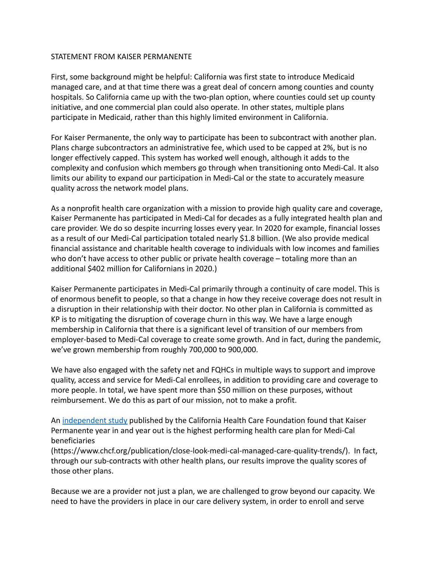#### STATEMENT FROM KAISER PERMANENTE

First, some background might be helpful: California was first state to introduce Medicaid managed care, and at that time there was a great deal of concern among counties and county hospitals. So California came up with the two-plan option, where counties could set up county initiative, and one commercial plan could also operate. In other states, multiple plans participate in Medicaid, rather than this highly limited environment in California.

For Kaiser Permanente, the only way to participate has been to subcontract with another plan. Plans charge subcontractors an administrative fee, which used to be capped at 2%, but is no longer effectively capped. This system has worked well enough, although it adds to the complexity and confusion which members go through when transitioning onto Medi-Cal. It also limits our ability to expand our participation in Medi-Cal or the state to accurately measure quality across the network model plans.

As a nonprofit health care organization with a mission to provide high quality care and coverage, Kaiser Permanente has participated in Medi-Cal for decades as a fully integrated health plan and care provider. We do so despite incurring losses every year. In 2020 for example, financial losses as a result of our Medi-Cal participation totaled nearly \$1.8 billion. (We also provide medical financial assistance and charitable health coverage to individuals with low incomes and families who don't have access to other public or private health coverage – totaling more than an additional \$402 million for Californians in 2020.)

Kaiser Permanente participates in Medi-Cal primarily through a continuity of care model. This is of enormous benefit to people, so that a change in how they receive coverage does not result in a disruption in their relationship with their doctor. No other plan in California is committed as KP is to mitigating the disruption of coverage churn in this way. We have a large enough membership in California that there is a significant level of transition of our members from employer-based to Medi-Cal coverage to create some growth. And in fact, during the pandemic, we've grown membership from roughly 700,000 to 900,000.

We have also engaged with the safety net and FQHCs in multiple ways to support and improve quality, access and service for Medi-Cal enrollees, in addition to providing care and coverage to more people. In total, we have spent more than \$50 million on these purposes, without reimbursement. We do this as part of our mission, not to make a profit.

An [independent study](https://www.chcf.org/publication/close-look-medi-cal-managed-care-quality-trends/) published by the California Health Care Foundation found that Kaiser Permanente year in and year out is the highest performing health care plan for Medi-Cal beneficiaries

(https://www.chcf.org/publication/close-look-medi-cal-managed-care-quality-trends/). In fact, through our sub-contracts with other health plans, our results improve the quality scores of those other plans.

Because we are a provider not just a plan, we are challenged to grow beyond our capacity. We need to have the providers in place in our care delivery system, in order to enroll and serve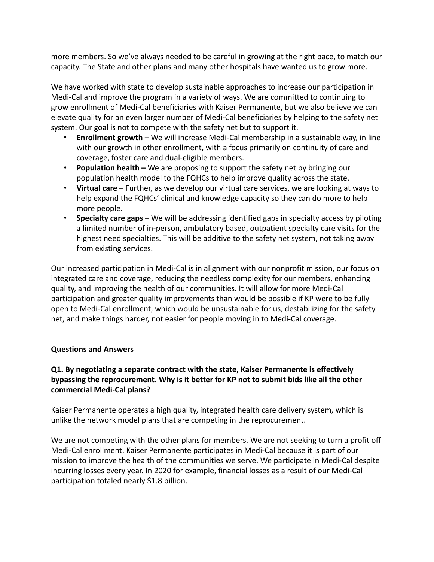more members. So we've always needed to be careful in growing at the right pace, to match our capacity. The State and other plans and many other hospitals have wanted us to grow more.

We have worked with state to develop sustainable approaches to increase our participation in Medi-Cal and improve the program in a variety of ways. We are committed to continuing to grow enrollment of Medi-Cal beneficiaries with Kaiser Permanente, but we also believe we can elevate quality for an even larger number of Medi-Cal beneficiaries by helping to the safety net system. Our goal is not to compete with the safety net but to support it.

- **Enrollment growth –** We will increase Medi-Cal membership in a sustainable way, in line with our growth in other enrollment, with a focus primarily on continuity of care and coverage, foster care and dual-eligible members.
- **Population health –** We are proposing to support the safety net by bringing our population health model to the FQHCs to help improve quality across the state.
- **Virtual care –** Further, as we develop our virtual care services, we are looking at ways to help expand the FQHCs' clinical and knowledge capacity so they can do more to help more people.
- **Specialty care gaps –** We will be addressing identified gaps in specialty access by piloting a limited number of in-person, ambulatory based, outpatient specialty care visits for the highest need specialties. This will be additive to the safety net system, not taking away from existing services.

Our increased participation in Medi-Cal is in alignment with our nonprofit mission, our focus on integrated care and coverage, reducing the needless complexity for our members, enhancing quality, and improving the health of our communities. It will allow for more Medi-Cal participation and greater quality improvements than would be possible if KP were to be fully open to Medi-Cal enrollment, which would be unsustainable for us, destabilizing for the safety net, and make things harder, not easier for people moving in to Medi-Cal coverage.

#### **Questions and Answers**

# **Q1. By negotiating a separate contract with the state, Kaiser Permanente is effectively bypassing the reprocurement. Why is it better for KP not to submit bids like all the other commercial Medi-Cal plans?**

Kaiser Permanente operates a high quality, integrated health care delivery system, which is unlike the network model plans that are competing in the reprocurement.

We are not competing with the other plans for members. We are not seeking to turn a profit off Medi-Cal enrollment. Kaiser Permanente participates in Medi-Cal because it is part of our mission to improve the health of the communities we serve. We participate in Medi-Cal despite incurring losses every year. In 2020 for example, financial losses as a result of our Medi-Cal participation totaled nearly \$1.8 billion.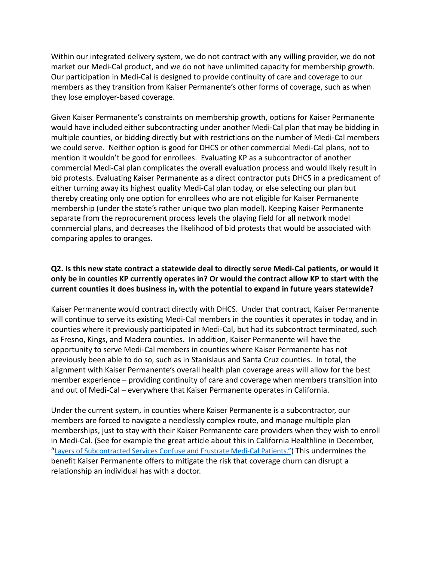Within our integrated delivery system, we do not contract with any willing provider, we do not market our Medi-Cal product, and we do not have unlimited capacity for membership growth. Our participation in Medi-Cal is designed to provide continuity of care and coverage to our members as they transition from Kaiser Permanente's other forms of coverage, such as when they lose employer-based coverage.

Given Kaiser Permanente's constraints on membership growth, options for Kaiser Permanente would have included either subcontracting under another Medi-Cal plan that may be bidding in multiple counties, or bidding directly but with restrictions on the number of Medi-Cal members we could serve. Neither option is good for DHCS or other commercial Medi-Cal plans, not to mention it wouldn't be good for enrollees. Evaluating KP as a subcontractor of another commercial Medi-Cal plan complicates the overall evaluation process and would likely result in bid protests. Evaluating Kaiser Permanente as a direct contractor puts DHCS in a predicament of either turning away its highest quality Medi-Cal plan today, or else selecting our plan but thereby creating only one option for enrollees who are not eligible for Kaiser Permanente membership (under the state's rather unique two plan model). Keeping Kaiser Permanente separate from the reprocurement process levels the playing field for all network model commercial plans, and decreases the likelihood of bid protests that would be associated with comparing apples to oranges.

### **Q2. Is this new state contract a statewide deal to directly serve Medi-Cal patients, or would it only be in counties KP currently operates in? Or would the contract allow KP to start with the current counties it does business in, with the potential to expand in future years statewide?**

Kaiser Permanente would contract directly with DHCS. Under that contract, Kaiser Permanente will continue to serve its existing Medi-Cal members in the counties it operates in today, and in counties where it previously participated in Medi-Cal, but had its subcontract terminated, such as Fresno, Kings, and Madera counties. In addition, Kaiser Permanente will have the opportunity to serve Medi-Cal members in counties where Kaiser Permanente has not previously been able to do so, such as in Stanislaus and Santa Cruz counties. In total, the alignment with Kaiser Permanente's overall health plan coverage areas will allow for the best member experience – providing continuity of care and coverage when members transition into and out of Medi-Cal – everywhere that Kaiser Permanente operates in California.

Under the current system, in counties where Kaiser Permanente is a subcontractor, our members are forced to navigate a needlessly complex route, and manage multiple plan memberships, just to stay with their Kaiser Permanente care providers when they wish to enroll in Medi-Cal. (See for example the great article about this in California Healthline in December, "Layers of [Subcontracted](https://californiahealthline.org/news/article/layers-of-subcontracted-services-confuse-and-frustrate-medi-cal-patients/) Services Confuse and Frustrate Medi-Cal Patients.") This undermines the benefit Kaiser Permanente offers to mitigate the risk that coverage churn can disrupt a relationship an individual has with a doctor.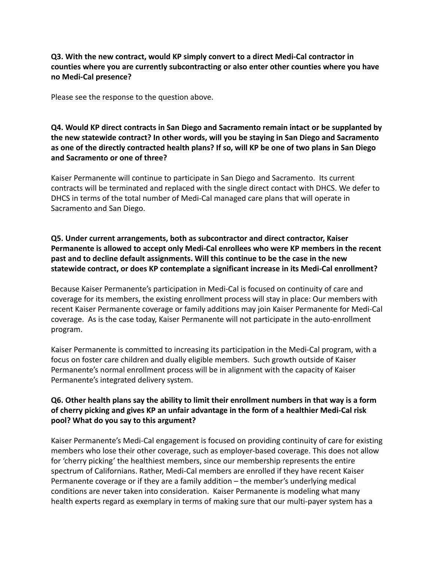### **Q3. With the new contract, would KP simply convert to a direct Medi-Cal contractor in counties where you are currently subcontracting or also enter other counties where you have no Medi-Cal presence?**

Please see the response to the question above.

# **Q4. Would KP direct contracts in San Diego and Sacramento remain intact or be supplanted by the new statewide contract? In other words, will you be staying in San Diego and Sacramento as one of the directly contracted health plans? If so, will KP be one of two plans in San Diego and Sacramento or one of three?**

Kaiser Permanente will continue to participate in San Diego and Sacramento. Its current contracts will be terminated and replaced with the single direct contact with DHCS. We defer to DHCS in terms of the total number of Medi-Cal managed care plans that will operate in Sacramento and San Diego.

# **Q5. Under current arrangements, both as subcontractor and direct contractor, Kaiser Permanente is allowed to accept only Medi-Cal enrollees who were KP members in the recent past and to decline default assignments. Will this continue to be the case in the new statewide contract, or does KP contemplate a significant increase in its Medi-Cal enrollment?**

Because Kaiser Permanente's participation in Medi-Cal is focused on continuity of care and coverage for its members, the existing enrollment process will stay in place: Our members with recent Kaiser Permanente coverage or family additions may join Kaiser Permanente for Medi-Cal coverage. As is the case today, Kaiser Permanente will not participate in the auto-enrollment program.

Kaiser Permanente is committed to increasing its participation in the Medi-Cal program, with a focus on foster care children and dually eligible members. Such growth outside of Kaiser Permanente's normal enrollment process will be in alignment with the capacity of Kaiser Permanente's integrated delivery system.

# **Q6. Other health plans say the ability to limit their enrollment numbers in that way is a form of cherry picking and gives KP an unfair advantage in the form of a healthier Medi-Cal risk pool? What do you say to this argument?**

Kaiser Permanente's Medi-Cal engagement is focused on providing continuity of care for existing members who lose their other coverage, such as employer-based coverage. This does not allow for 'cherry picking' the healthiest members, since our membership represents the entire spectrum of Californians. Rather, Medi-Cal members are enrolled if they have recent Kaiser Permanente coverage or if they are a family addition – the member's underlying medical conditions are never taken into consideration. Kaiser Permanente is modeling what many health experts regard as exemplary in terms of making sure that our multi-payer system has a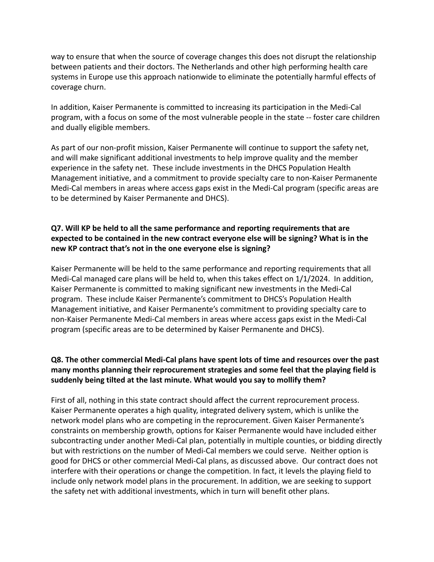way to ensure that when the source of coverage changes this does not disrupt the relationship between patients and their doctors. The Netherlands and other high performing health care systems in Europe use this approach nationwide to eliminate the potentially harmful effects of coverage churn.

In addition, Kaiser Permanente is committed to increasing its participation in the Medi-Cal program, with a focus on some of the most vulnerable people in the state -- foster care children and dually eligible members.

As part of our non-profit mission, Kaiser Permanente will continue to support the safety net, and will make significant additional investments to help improve quality and the member experience in the safety net. These include investments in the DHCS Population Health Management initiative, and a commitment to provide specialty care to non-Kaiser Permanente Medi-Cal members in areas where access gaps exist in the Medi-Cal program (specific areas are to be determined by Kaiser Permanente and DHCS).

# **Q7. Will KP be held to all the same performance and reporting requirements that are expected to be contained in the new contract everyone else will be signing? What is in the new KP contract that's not in the one everyone else is signing?**

Kaiser Permanente will be held to the same performance and reporting requirements that all Medi-Cal managed care plans will be held to, when this takes effect on 1/1/2024. In addition, Kaiser Permanente is committed to making significant new investments in the Medi-Cal program. These include Kaiser Permanente's commitment to DHCS's Population Health Management initiative, and Kaiser Permanente's commitment to providing specialty care to non-Kaiser Permanente Medi-Cal members in areas where access gaps exist in the Medi-Cal program (specific areas are to be determined by Kaiser Permanente and DHCS).

# **Q8. The other commercial Medi-Cal plans have spent lots of time and resources over the past many months planning their reprocurement strategies and some feel that the playing field is suddenly being tilted at the last minute. What would you say to mollify them?**

First of all, nothing in this state contract should affect the current reprocurement process. Kaiser Permanente operates a high quality, integrated delivery system, which is unlike the network model plans who are competing in the reprocurement. Given Kaiser Permanente's constraints on membership growth, options for Kaiser Permanente would have included either subcontracting under another Medi-Cal plan, potentially in multiple counties, or bidding directly but with restrictions on the number of Medi-Cal members we could serve. Neither option is good for DHCS or other commercial Medi-Cal plans, as discussed above. Our contract does not interfere with their operations or change the competition. In fact, it levels the playing field to include only network model plans in the procurement. In addition, we are seeking to support the safety net with additional investments, which in turn will benefit other plans.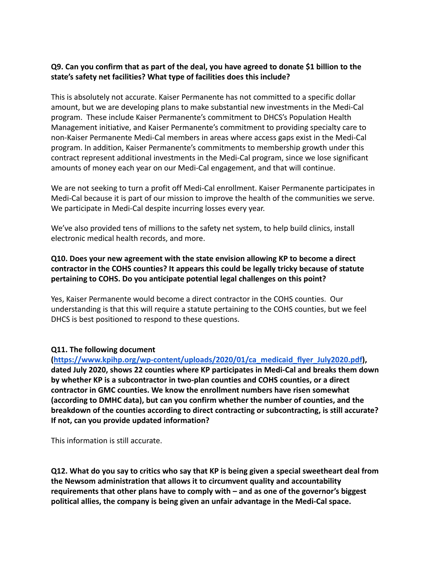### **Q9. Can you confirm that as part of the deal, you have agreed to donate \$1 billion to the state's safety net facilities? What type of facilities does this include?**

This is absolutely not accurate. Kaiser Permanente has not committed to a specific dollar amount, but we are developing plans to make substantial new investments in the Medi-Cal program. These include Kaiser Permanente's commitment to DHCS's Population Health Management initiative, and Kaiser Permanente's commitment to providing specialty care to non-Kaiser Permanente Medi-Cal members in areas where access gaps exist in the Medi-Cal program. In addition, Kaiser Permanente's commitments to membership growth under this contract represent additional investments in the Medi-Cal program, since we lose significant amounts of money each year on our Medi-Cal engagement, and that will continue.

We are not seeking to turn a profit off Medi-Cal enrollment. Kaiser Permanente participates in Medi-Cal because it is part of our mission to improve the health of the communities we serve. We participate in Medi-Cal despite incurring losses every year.

We've also provided tens of millions to the safety net system, to help build clinics, install electronic medical health records, and more.

# **Q10. Does your new agreement with the state envision allowing KP to become a direct contractor in the COHS counties? It appears this could be legally tricky because of statute pertaining to COHS. Do you anticipate potential legal challenges on this point?**

Yes, Kaiser Permanente would become a direct contractor in the COHS counties. Our understanding is that this will require a statute pertaining to the COHS counties, but we feel DHCS is best positioned to respond to these questions.

#### **Q11. The following document**

**([https://www.kpihp.org/wp-content/uploads/2020/01/ca\\_medicaid\\_flyer\\_July2020.pdf](https://urldefense.com/v3/__https:/www.kpihp.org/wp-content/uploads/2020/01/ca_medicaid_flyer_July2020.pdf__;!!BZ50a36bapWJ!4-D_hRJJrhFBDi_0sABpqYhpvjrAbpRa22roLQ5mwz7iZk15qxlIIku8e5cYJIDMMg$)), dated July 2020, shows 22 counties where KP participates in Medi-Cal and breaks them down by whether KP is a subcontractor in two-plan counties and COHS counties, or a direct contractor in GMC counties. We know the enrollment numbers have risen somewhat (according to DMHC data), but can you confirm whether the number of counties, and the breakdown of the counties according to direct contracting or subcontracting, is still accurate? If not, can you provide updated information?**

This information is still accurate.

**Q12. What do you say to critics who say that KP is being given a special sweetheart deal from the Newsom administration that allows it to circumvent quality and accountability requirements that other plans have to comply with – and as one of the governor's biggest political allies, the company is being given an unfair advantage in the Medi-Cal space.**